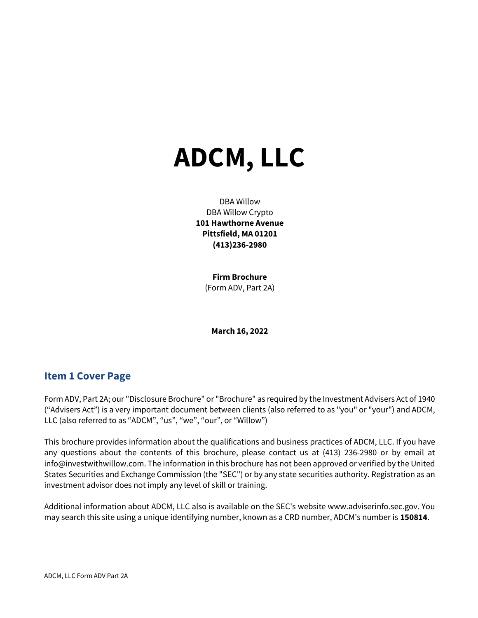# ADCM, LLC

DBA Willow DBA Willow Crypto 101 Hawthorne Avenue Pittsfield, MA 01201 (413)236-2980

> Firm Brochure (Form ADV, Part 2A)

March 16, 2022

# Item 1 Cover Page

Form ADV, Part 2A; our "Disclosure Brochure" or "Brochure" as required by the Investment Advisers Act of 1940 ("Advisers Act") is a very important document between clients (also referred to as "you" or "your") and ADCM, LLC (also referred to as "ADCM", "us", "we", "our", or "Willow")

This brochure provides information about the qualifications and business practices of ADCM, LLC. If you have any questions about the contents of this brochure, please contact us at (413) 236-2980 or by email at info@investwithwillow.com. The information in this brochure has not been approved or verified by the United States Securities and Exchange Commission (the "SEC") or by any state securities authority. Registration as an investment advisor does not imply any level of skill or training.

Additional information about ADCM, LLC also is available on the SEC's website www.adviserinfo.sec.gov. You may search this site using a unique identifying number, known as a CRD number, ADCM's number is 150814.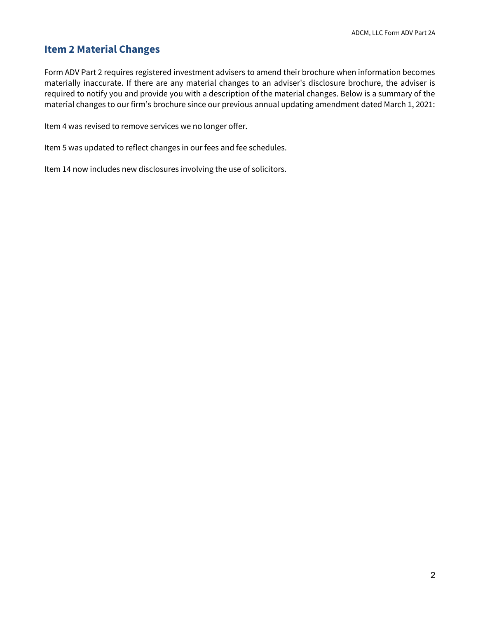# Item 2 Material Changes

Form ADV Part 2 requires registered investment advisers to amend their brochure when information becomes materially inaccurate. If there are any material changes to an adviser's disclosure brochure, the adviser is required to notify you and provide you with a description of the material changes. Below is a summary of the material changes to our firm's brochure since our previous annual updating amendment dated March 1, 2021:

Item 4 was revised to remove services we no longer offer.

Item 5 was updated to reflect changes in our fees and fee schedules.

Item 14 now includes new disclosures involving the use of solicitors.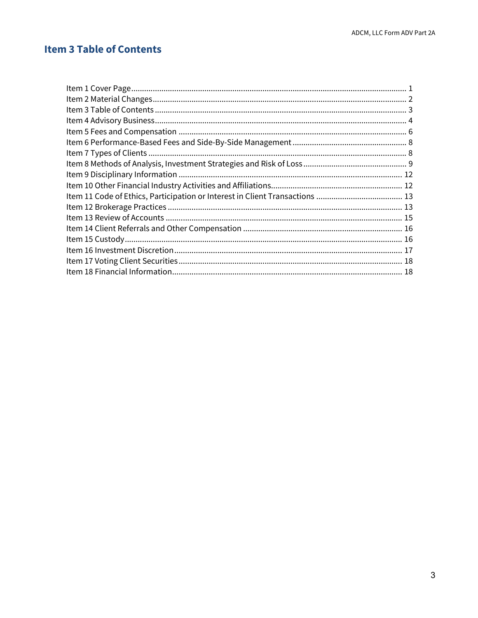# **Item 3 Table of Contents**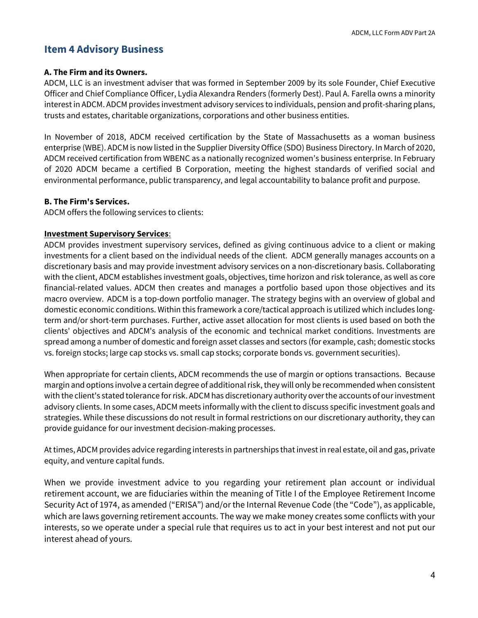# Item 4 Advisory Business

### A. The Firm and its Owners.

ADCM, LLC is an investment adviser that was formed in September 2009 by its sole Founder, Chief Executive Officer and Chief Compliance Officer, Lydia Alexandra Renders (formerly Dest). Paul A. Farella owns a minority interest in ADCM. ADCM provides investment advisory services to individuals, pension and profit-sharing plans, trusts and estates, charitable organizations, corporations and other business entities.

In November of 2018, ADCM received certification by the State of Massachusetts as a woman business enterprise (WBE). ADCM is now listed in the Supplier Diversity Office (SDO) Business Directory. In March of 2020, ADCM received certification from WBENC as a nationally recognized women's business enterprise. In February of 2020 ADCM became a certified B Corporation, meeting the highest standards of verified social and environmental performance, public transparency, and legal accountability to balance profit and purpose.

### B. The Firm's Services.

ADCM offers the following services to clients:

### Investment Supervisory Services:

ADCM provides investment supervisory services, defined as giving continuous advice to a client or making investments for a client based on the individual needs of the client. ADCM generally manages accounts on a discretionary basis and may provide investment advisory services on a non-discretionary basis. Collaborating with the client, ADCM establishes investment goals, objectives, time horizon and risk tolerance, as well as core financial-related values. ADCM then creates and manages a portfolio based upon those objectives and its macro overview. ADCM is a top-down portfolio manager. The strategy begins with an overview of global and domestic economic conditions. Within this framework a core/tactical approach is utilized which includes longterm and/or short-term purchases. Further, active asset allocation for most clients is used based on both the clients' objectives and ADCM's analysis of the economic and technical market conditions. Investments are spread among a number of domestic and foreign asset classes and sectors (for example, cash; domestic stocks vs. foreign stocks; large cap stocks vs. small cap stocks; corporate bonds vs. government securities).

When appropriate for certain clients, ADCM recommends the use of margin or options transactions. Because margin and options involve a certain degree of additional risk, they will only be recommended when consistent with the client's stated tolerance for risk. ADCM has discretionary authority over the accounts of our investment advisory clients. In some cases, ADCM meets informally with the client to discuss specific investment goals and strategies. While these discussions do not result in formal restrictions on our discretionary authority, they can provide guidance for our investment decision-making processes.

At times, ADCM provides advice regarding interests in partnerships that invest in real estate, oil and gas, private equity, and venture capital funds.

When we provide investment advice to you regarding your retirement plan account or individual retirement account, we are fiduciaries within the meaning of Title I of the Employee Retirement Income Security Act of 1974, as amended ("ERISA") and/or the Internal Revenue Code (the "Code"), as applicable, which are laws governing retirement accounts. The way we make money creates some conflicts with your interests, so we operate under a special rule that requires us to act in your best interest and not put our interest ahead of yours.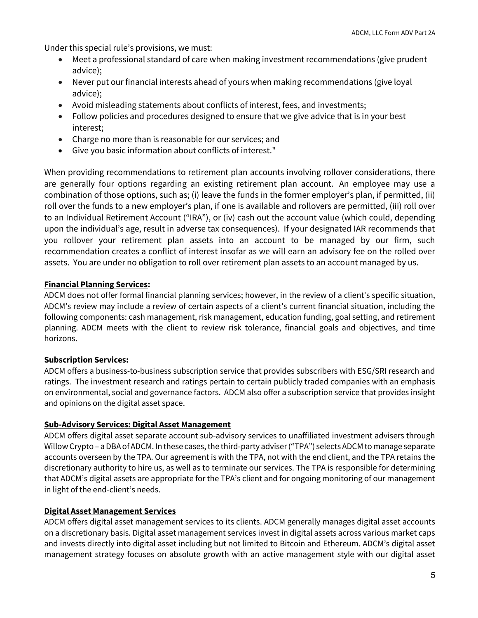Under this special rule's provisions, we must:

- Meet a professional standard of care when making investment recommendations (give prudent advice);
- Never put our financial interests ahead of yours when making recommendations (give loyal advice);
- Avoid misleading statements about conflicts of interest, fees, and investments;
- Follow policies and procedures designed to ensure that we give advice that is in your best interest;
- Charge no more than is reasonable for our services; and
- Give you basic information about conflicts of interest."

When providing recommendations to retirement plan accounts involving rollover considerations, there are generally four options regarding an existing retirement plan account. An employee may use a combination of those options, such as; (i) leave the funds in the former employer's plan, if permitted, (ii) roll over the funds to a new employer's plan, if one is available and rollovers are permitted, (iii) roll over to an Individual Retirement Account ("IRA"), or (iv) cash out the account value (which could, depending upon the individual's age, result in adverse tax consequences). If your designated IAR recommends that you rollover your retirement plan assets into an account to be managed by our firm, such recommendation creates a conflict of interest insofar as we will earn an advisory fee on the rolled over assets. You are under no obligation to roll over retirement plan assets to an account managed by us.

### Financial Planning Services:

ADCM does not offer formal financial planning services; however, in the review of a client's specific situation, ADCM's review may include a review of certain aspects of a client's current financial situation, including the following components: cash management, risk management, education funding, goal setting, and retirement planning. ADCM meets with the client to review risk tolerance, financial goals and objectives, and time horizons.

### Subscription Services:

ADCM offers a business-to-business subscription service that provides subscribers with ESG/SRI research and ratings. The investment research and ratings pertain to certain publicly traded companies with an emphasis on environmental, social and governance factors. ADCM also offer a subscription service that provides insight and opinions on the digital asset space.

### Sub-Advisory Services: Digital Asset Management

ADCM offers digital asset separate account sub-advisory services to unaffiliated investment advisers through Willow Crypto – a DBA of ADCM. In these cases, the third-party adviser ("TPA") selects ADCM to manage separate accounts overseen by the TPA. Our agreement is with the TPA, not with the end client, and the TPA retains the discretionary authority to hire us, as well as to terminate our services. The TPA is responsible for determining that ADCM's digital assets are appropriate for the TPA's client and for ongoing monitoring of our management in light of the end-client's needs.

### Digital Asset Management Services

ADCM offers digital asset management services to its clients. ADCM generally manages digital asset accounts on a discretionary basis. Digital asset management services invest in digital assets across various market caps and invests directly into digital asset including but not limited to Bitcoin and Ethereum. ADCM's digital asset management strategy focuses on absolute growth with an active management style with our digital asset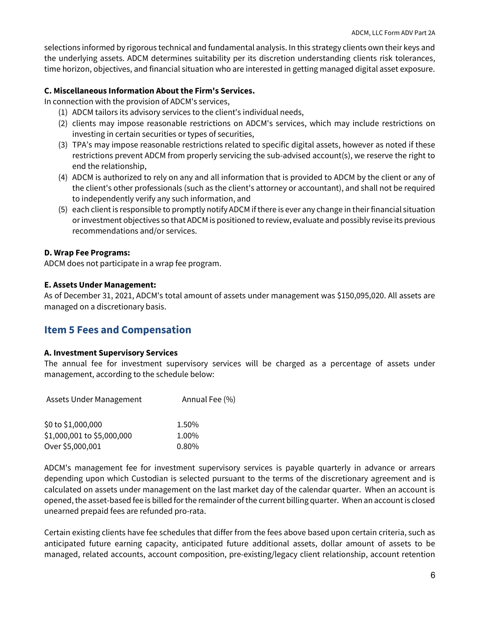selections informed by rigorous technical and fundamental analysis. In this strategy clients own their keys and the underlying assets. ADCM determines suitability per its discretion understanding clients risk tolerances, time horizon, objectives, and financial situation who are interested in getting managed digital asset exposure.

### C. Miscellaneous Information About the Firm's Services.

In connection with the provision of ADCM's services,

- (1) ADCM tailors its advisory services to the client's individual needs,
- (2) clients may impose reasonable restrictions on ADCM's services, which may include restrictions on investing in certain securities or types of securities,
- (3) TPA's may impose reasonable restrictions related to specific digital assets, however as noted if these restrictions prevent ADCM from properly servicing the sub-advised account(s), we reserve the right to end the relationship,
- (4) ADCM is authorized to rely on any and all information that is provided to ADCM by the client or any of the client's other professionals (such as the client's attorney or accountant), and shall not be required to independently verify any such information, and
- (5) each client is responsible to promptly notify ADCM if there is ever any change in their financial situation or investment objectives so that ADCM is positioned to review, evaluate and possibly revise its previous recommendations and/or services.

### D. Wrap Fee Programs:

ADCM does not participate in a wrap fee program.

### E. Assets Under Management:

As of December 31, 2021, ADCM's total amount of assets under management was \$150,095,020. All assets are managed on a discretionary basis.

# Item 5 Fees and Compensation

### A. Investment Supervisory Services

The annual fee for investment supervisory services will be charged as a percentage of assets under management, according to the schedule below:

| <b>Assets Under Management</b> | Annual Fee (%) |
|--------------------------------|----------------|
| \$0 to \$1,000,000             | 1.50%          |
| \$1,000,001 to \$5,000,000     | 1.00%          |
| Over \$5,000,001               | $0.80\%$       |

ADCM's management fee for investment supervisory services is payable quarterly in advance or arrears depending upon which Custodian is selected pursuant to the terms of the discretionary agreement and is calculated on assets under management on the last market day of the calendar quarter. When an account is opened, the asset-based fee is billed for the remainder of the current billing quarter. When an account is closed unearned prepaid fees are refunded pro-rata.

Certain existing clients have fee schedules that differ from the fees above based upon certain criteria, such as anticipated future earning capacity, anticipated future additional assets, dollar amount of assets to be managed, related accounts, account composition, pre-existing/legacy client relationship, account retention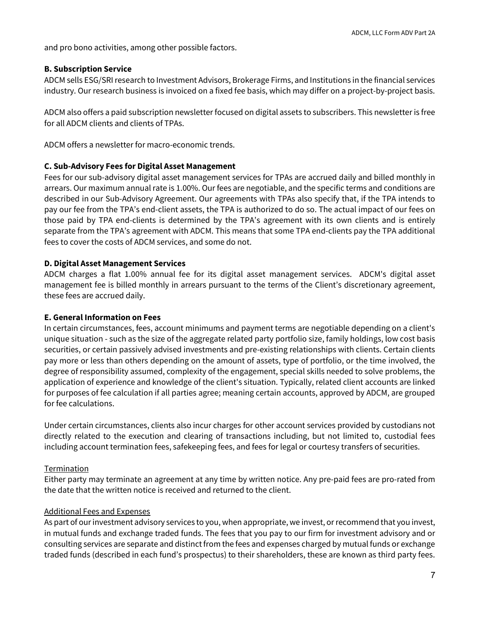and pro bono activities, among other possible factors.

### B. Subscription Service

ADCM sells ESG/SRI research to Investment Advisors, Brokerage Firms, and Institutions in the financial services industry. Our research business is invoiced on a fixed fee basis, which may differ on a project-by-project basis.

ADCM also offers a paid subscription newsletter focused on digital assets to subscribers. This newsletter is free for all ADCM clients and clients of TPAs.

ADCM offers a newsletter for macro-economic trends.

### C. Sub-Advisory Fees for Digital Asset Management

Fees for our sub-advisory digital asset management services for TPAs are accrued daily and billed monthly in arrears. Our maximum annual rate is 1.00%. Our fees are negotiable, and the specific terms and conditions are described in our Sub-Advisory Agreement. Our agreements with TPAs also specify that, if the TPA intends to pay our fee from the TPA's end-client assets, the TPA is authorized to do so. The actual impact of our fees on those paid by TPA end-clients is determined by the TPA's agreement with its own clients and is entirely separate from the TPA's agreement with ADCM. This means that some TPA end-clients pay the TPA additional fees to cover the costs of ADCM services, and some do not.

### D. Digital Asset Management Services

ADCM charges a flat 1.00% annual fee for its digital asset management services. ADCM's digital asset management fee is billed monthly in arrears pursuant to the terms of the Client's discretionary agreement, these fees are accrued daily.

### E. General Information on Fees

In certain circumstances, fees, account minimums and payment terms are negotiable depending on a client's unique situation - such as the size of the aggregate related party portfolio size, family holdings, low cost basis securities, or certain passively advised investments and pre-existing relationships with clients. Certain clients pay more or less than others depending on the amount of assets, type of portfolio, or the time involved, the degree of responsibility assumed, complexity of the engagement, special skills needed to solve problems, the application of experience and knowledge of the client's situation. Typically, related client accounts are linked for purposes of fee calculation if all parties agree; meaning certain accounts, approved by ADCM, are grouped for fee calculations.

Under certain circumstances, clients also incur charges for other account services provided by custodians not directly related to the execution and clearing of transactions including, but not limited to, custodial fees including account termination fees, safekeeping fees, and fees for legal or courtesy transfers of securities.

### Termination

Either party may terminate an agreement at any time by written notice. Any pre-paid fees are pro-rated from the date that the written notice is received and returned to the client.

### Additional Fees and Expenses

As part of our investment advisory services to you, when appropriate, we invest, or recommend that you invest, in mutual funds and exchange traded funds. The fees that you pay to our firm for investment advisory and or consulting services are separate and distinct from the fees and expenses charged by mutual funds or exchange traded funds (described in each fund's prospectus) to their shareholders, these are known as third party fees.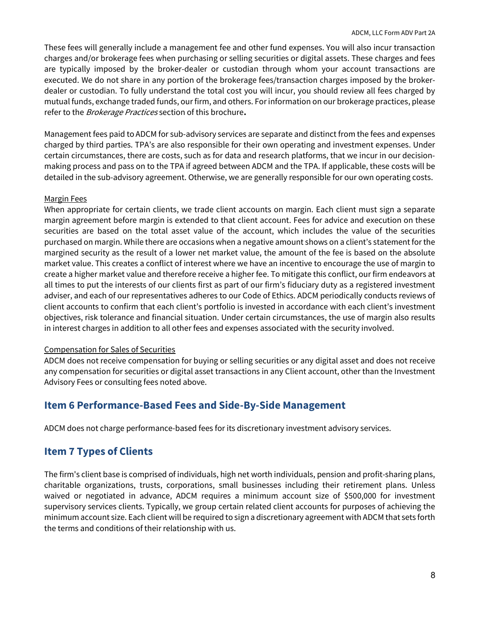These fees will generally include a management fee and other fund expenses. You will also incur transaction charges and/or brokerage fees when purchasing or selling securities or digital assets. These charges and fees are typically imposed by the broker-dealer or custodian through whom your account transactions are executed. We do not share in any portion of the brokerage fees/transaction charges imposed by the brokerdealer or custodian. To fully understand the total cost you will incur, you should review all fees charged by mutual funds, exchange traded funds, our firm, and others. For information on our brokerage practices, please refer to the *Brokerage Practices* section of this brochure.

Management fees paid to ADCM for sub-advisory services are separate and distinct from the fees and expenses charged by third parties. TPA's are also responsible for their own operating and investment expenses. Under certain circumstances, there are costs, such as for data and research platforms, that we incur in our decisionmaking process and pass on to the TPA if agreed between ADCM and the TPA. If applicable, these costs will be detailed in the sub-advisory agreement. Otherwise, we are generally responsible for our own operating costs.

### Margin Fees

When appropriate for certain clients, we trade client accounts on margin. Each client must sign a separate margin agreement before margin is extended to that client account. Fees for advice and execution on these securities are based on the total asset value of the account, which includes the value of the securities purchased on margin. While there are occasions when a negative amount shows on a client's statement for the margined security as the result of a lower net market value, the amount of the fee is based on the absolute market value. This creates a conflict of interest where we have an incentive to encourage the use of margin to create a higher market value and therefore receive a higher fee. To mitigate this conflict, our firm endeavors at all times to put the interests of our clients first as part of our firm's fiduciary duty as a registered investment adviser, and each of our representatives adheres to our Code of Ethics. ADCM periodically conducts reviews of client accounts to confirm that each client's portfolio is invested in accordance with each client's investment objectives, risk tolerance and financial situation. Under certain circumstances, the use of margin also results in interest charges in addition to all other fees and expenses associated with the security involved.

### Compensation for Sales of Securities

ADCM does not receive compensation for buying or selling securities or any digital asset and does not receive any compensation for securities or digital asset transactions in any Client account, other than the Investment Advisory Fees or consulting fees noted above.

# Item 6 Performance-Based Fees and Side-By-Side Management

ADCM does not charge performance-based fees for its discretionary investment advisory services.

# Item 7 Types of Clients

The firm's client base is comprised of individuals, high net worth individuals, pension and profit-sharing plans, charitable organizations, trusts, corporations, small businesses including their retirement plans. Unless waived or negotiated in advance, ADCM requires a minimum account size of \$500,000 for investment supervisory services clients. Typically, we group certain related client accounts for purposes of achieving the minimum account size. Each client will be required to sign a discretionary agreement with ADCM that sets forth the terms and conditions of their relationship with us.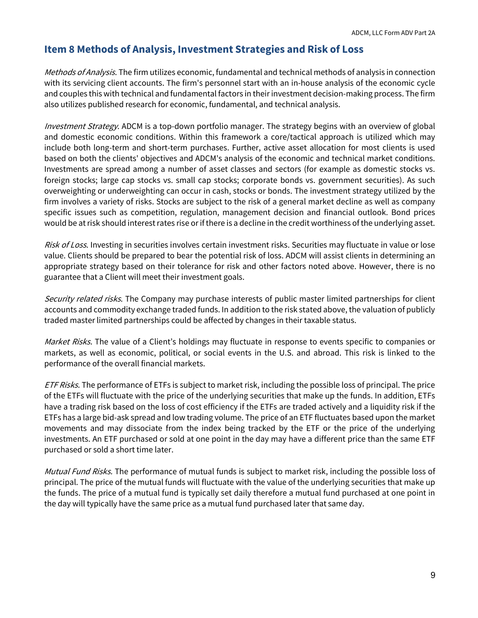# Item 8 Methods of Analysis, Investment Strategies and Risk of Loss

Methods of Analysis. The firm utilizes economic, fundamental and technical methods of analysis in connection with its servicing client accounts. The firm's personnel start with an in-house analysis of the economic cycle and couples this with technical and fundamental factors in their investment decision-making process. The firm also utilizes published research for economic, fundamental, and technical analysis.

Investment Strategy. ADCM is a top-down portfolio manager. The strategy begins with an overview of global and domestic economic conditions. Within this framework a core/tactical approach is utilized which may include both long-term and short-term purchases. Further, active asset allocation for most clients is used based on both the clients' objectives and ADCM's analysis of the economic and technical market conditions. Investments are spread among a number of asset classes and sectors (for example as domestic stocks vs. foreign stocks; large cap stocks vs. small cap stocks; corporate bonds vs. government securities). As such overweighting or underweighting can occur in cash, stocks or bonds. The investment strategy utilized by the firm involves a variety of risks. Stocks are subject to the risk of a general market decline as well as company specific issues such as competition, regulation, management decision and financial outlook. Bond prices would be at risk should interest rates rise or if there is a decline in the credit worthiness of the underlying asset.

Risk of Loss. Investing in securities involves certain investment risks. Securities may fluctuate in value or lose value. Clients should be prepared to bear the potential risk of loss. ADCM will assist clients in determining an appropriate strategy based on their tolerance for risk and other factors noted above. However, there is no guarantee that a Client will meet their investment goals.

Security related risks. The Company may purchase interests of public master limited partnerships for client accounts and commodity exchange traded funds. In addition to the risk stated above, the valuation of publicly traded master limited partnerships could be affected by changes in their taxable status.

Market Risks. The value of a Client's holdings may fluctuate in response to events specific to companies or markets, as well as economic, political, or social events in the U.S. and abroad. This risk is linked to the performance of the overall financial markets.

ETF Risks. The performance of ETFs is subject to market risk, including the possible loss of principal. The price of the ETFs will fluctuate with the price of the underlying securities that make up the funds. In addition, ETFs have a trading risk based on the loss of cost efficiency if the ETFs are traded actively and a liquidity risk if the ETFs has a large bid-ask spread and low trading volume. The price of an ETF fluctuates based upon the market movements and may dissociate from the index being tracked by the ETF or the price of the underlying investments. An ETF purchased or sold at one point in the day may have a different price than the same ETF purchased or sold a short time later.

Mutual Fund Risks. The performance of mutual funds is subject to market risk, including the possible loss of principal. The price of the mutual funds will fluctuate with the value of the underlying securities that make up the funds. The price of a mutual fund is typically set daily therefore a mutual fund purchased at one point in the day will typically have the same price as a mutual fund purchased later that same day.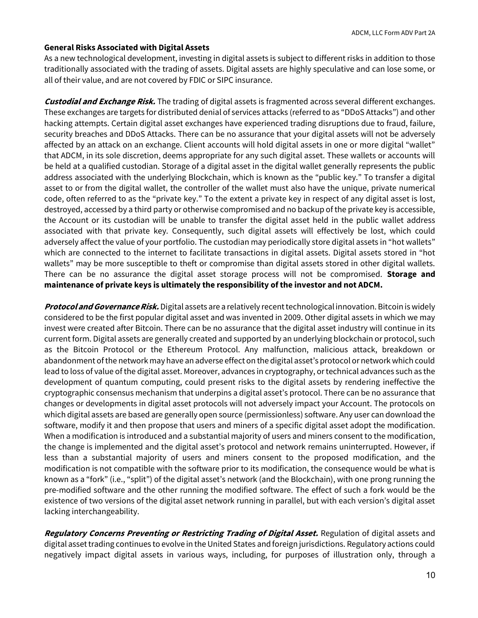#### General Risks Associated with Digital Assets

As a new technological development, investing in digital assets is subject to different risks in addition to those traditionally associated with the trading of assets. Digital assets are highly speculative and can lose some, or all of their value, and are not covered by FDIC or SIPC insurance.

**Custodial and Exchange Risk.** The trading of digital assets is fragmented across several different exchanges. These exchanges are targets for distributed denial of services attacks (referred to as "DDoS Attacks") and other hacking attempts. Certain digital asset exchanges have experienced trading disruptions due to fraud, failure, security breaches and DDoS Attacks. There can be no assurance that your digital assets will not be adversely affected by an attack on an exchange. Client accounts will hold digital assets in one or more digital "wallet" that ADCM, in its sole discretion, deems appropriate for any such digital asset. These wallets or accounts will be held at a qualified custodian. Storage of a digital asset in the digital wallet generally represents the public address associated with the underlying Blockchain, which is known as the "public key." To transfer a digital asset to or from the digital wallet, the controller of the wallet must also have the unique, private numerical code, often referred to as the "private key." To the extent a private key in respect of any digital asset is lost, destroyed, accessed by a third party or otherwise compromised and no backup of the private key is accessible, the Account or its custodian will be unable to transfer the digital asset held in the public wallet address associated with that private key. Consequently, such digital assets will effectively be lost, which could adversely affect the value of your portfolio. The custodian may periodically store digital assets in "hot wallets" which are connected to the internet to facilitate transactions in digital assets. Digital assets stored in "hot wallets" may be more susceptible to theft or compromise than digital assets stored in other digital wallets. There can be no assurance the digital asset storage process will not be compromised. Storage and maintenance of private keys is ultimately the responsibility of the investor and not ADCM.

Protocol and Governance Risk. Digital assets are a relatively recent technological innovation. Bitcoin is widely considered to be the first popular digital asset and was invented in 2009. Other digital assets in which we may invest were created after Bitcoin. There can be no assurance that the digital asset industry will continue in its current form. Digital assets are generally created and supported by an underlying blockchain or protocol, such as the Bitcoin Protocol or the Ethereum Protocol. Any malfunction, malicious attack, breakdown or abandonment of the network may have an adverse effect on the digital asset's protocol or network which could lead to loss of value of the digital asset. Moreover, advances in cryptography, or technical advances such as the development of quantum computing, could present risks to the digital assets by rendering ineffective the cryptographic consensus mechanism that underpins a digital asset's protocol. There can be no assurance that changes or developments in digital asset protocols will not adversely impact your Account. The protocols on which digital assets are based are generally open source (permissionless) software. Any user can download the software, modify it and then propose that users and miners of a specific digital asset adopt the modification. When a modification is introduced and a substantial majority of users and miners consent to the modification, the change is implemented and the digital asset's protocol and network remains uninterrupted. However, if less than a substantial majority of users and miners consent to the proposed modification, and the modification is not compatible with the software prior to its modification, the consequence would be what is known as a "fork" (i.e., "split") of the digital asset's network (and the Blockchain), with one prong running the pre-modified software and the other running the modified software. The effect of such a fork would be the existence of two versions of the digital asset network running in parallel, but with each version's digital asset lacking interchangeability.

Regulatory Concerns Preventing or Restricting Trading of Digital Asset. Regulation of digital assets and digital asset trading continues to evolve in the United States and foreign jurisdictions. Regulatory actions could negatively impact digital assets in various ways, including, for purposes of illustration only, through a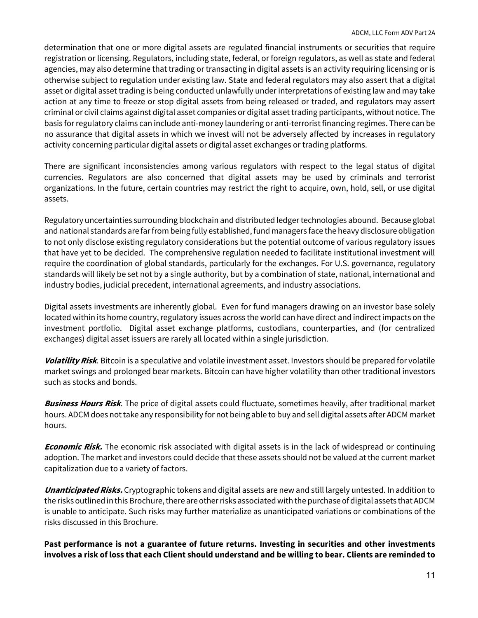determination that one or more digital assets are regulated financial instruments or securities that require registration or licensing. Regulators, including state, federal, or foreign regulators, as well as state and federal agencies, may also determine that trading or transacting in digital assets is an activity requiring licensing or is otherwise subject to regulation under existing law. State and federal regulators may also assert that a digital asset or digital asset trading is being conducted unlawfully under interpretations of existing law and may take action at any time to freeze or stop digital assets from being released or traded, and regulators may assert criminal or civil claims against digital asset companies or digital asset trading participants, without notice. The basis for regulatory claims can include anti-money laundering or anti-terrorist financing regimes. There can be no assurance that digital assets in which we invest will not be adversely affected by increases in regulatory activity concerning particular digital assets or digital asset exchanges or trading platforms.

There are significant inconsistencies among various regulators with respect to the legal status of digital currencies. Regulators are also concerned that digital assets may be used by criminals and terrorist organizations. In the future, certain countries may restrict the right to acquire, own, hold, sell, or use digital assets.

Regulatory uncertainties surrounding blockchain and distributed ledger technologies abound. Because global and national standards are far from being fully established, fund managers face the heavy disclosure obligation to not only disclose existing regulatory considerations but the potential outcome of various regulatory issues that have yet to be decided. The comprehensive regulation needed to facilitate institutional investment will require the coordination of global standards, particularly for the exchanges. For U.S. governance, regulatory standards will likely be set not by a single authority, but by a combination of state, national, international and industry bodies, judicial precedent, international agreements, and industry associations.

Digital assets investments are inherently global. Even for fund managers drawing on an investor base solely located within its home country, regulatory issues across the world can have direct and indirect impacts on the investment portfolio. Digital asset exchange platforms, custodians, counterparties, and (for centralized exchanges) digital asset issuers are rarely all located within a single jurisdiction.

Volatility Risk. Bitcoin is a speculative and volatile investment asset. Investors should be prepared for volatile market swings and prolonged bear markets. Bitcoin can have higher volatility than other traditional investors such as stocks and bonds.

Business Hours Risk. The price of digital assets could fluctuate, sometimes heavily, after traditional market hours. ADCM does not take any responsibility for not being able to buy and sell digital assets after ADCM market hours.

**Economic Risk.** The economic risk associated with digital assets is in the lack of widespread or continuing adoption. The market and investors could decide that these assets should not be valued at the current market capitalization due to a variety of factors.

Unanticipated Risks. Cryptographic tokens and digital assets are new and still largely untested. In addition to the risks outlined in this Brochure, there are other risks associated with the purchase of digital assets that ADCM is unable to anticipate. Such risks may further materialize as unanticipated variations or combinations of the risks discussed in this Brochure.

Past performance is not a guarantee of future returns. Investing in securities and other investments involves a risk of loss that each Client should understand and be willing to bear. Clients are reminded to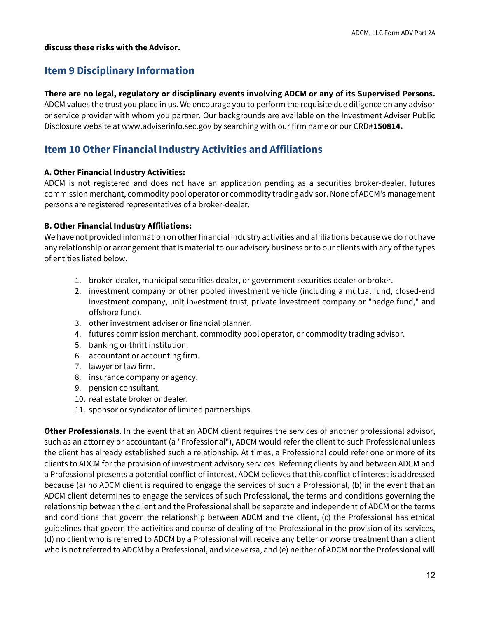#### discuss these risks with the Advisor.

# Item 9 Disciplinary Information

### There are no legal, regulatory or disciplinary events involving ADCM or any of its Supervised Persons.

ADCM values the trust you place in us. We encourage you to perform the requisite due diligence on any advisor or service provider with whom you partner. Our backgrounds are available on the Investment Adviser Public Disclosure website at www.adviserinfo.sec.gov by searching with our firm name or our CRD#150814.

# Item 10 Other Financial Industry Activities and Affiliations

### A. Other Financial Industry Activities:

ADCM is not registered and does not have an application pending as a securities broker-dealer, futures commission merchant, commodity pool operator or commodity trading advisor. None of ADCM's management persons are registered representatives of a broker-dealer.

### B. Other Financial Industry Affiliations:

We have not provided information on other financial industry activities and affiliations because we do not have any relationship or arrangement that is material to our advisory business or to our clients with any of the types of entities listed below.

- 1. broker-dealer, municipal securities dealer, or government securities dealer or broker.
- 2. investment company or other pooled investment vehicle (including a mutual fund, closed-end investment company, unit investment trust, private investment company or "hedge fund," and offshore fund).
- 3. other investment adviser or financial planner.
- 4. futures commission merchant, commodity pool operator, or commodity trading advisor.
- 5. banking or thrift institution.
- 6. accountant or accounting firm.
- 7. lawyer or law firm.
- 8. insurance company or agency.
- 9. pension consultant.
- 10. real estate broker or dealer.
- 11. sponsor or syndicator of limited partnerships.

Other Professionals. In the event that an ADCM client requires the services of another professional advisor, such as an attorney or accountant (a "Professional"), ADCM would refer the client to such Professional unless the client has already established such a relationship. At times, a Professional could refer one or more of its clients to ADCM for the provision of investment advisory services. Referring clients by and between ADCM and a Professional presents a potential conflict of interest. ADCM believes that this conflict of interest is addressed because (a) no ADCM client is required to engage the services of such a Professional, (b) in the event that an ADCM client determines to engage the services of such Professional, the terms and conditions governing the relationship between the client and the Professional shall be separate and independent of ADCM or the terms and conditions that govern the relationship between ADCM and the client, (c) the Professional has ethical guidelines that govern the activities and course of dealing of the Professional in the provision of its services, (d) no client who is referred to ADCM by a Professional will receive any better or worse treatment than a client who is not referred to ADCM by a Professional, and vice versa, and (e) neither of ADCM nor the Professional will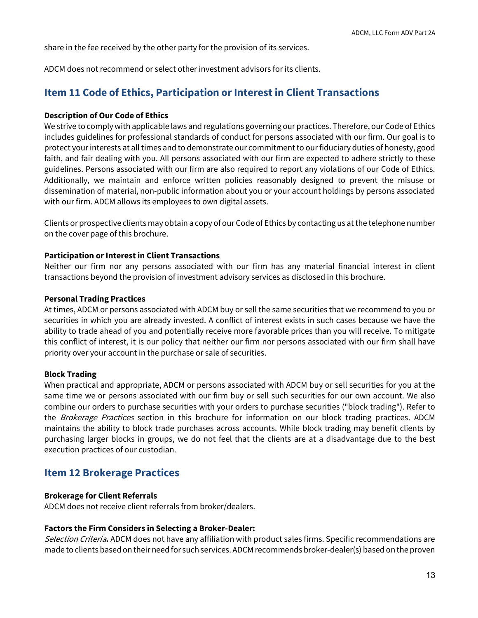share in the fee received by the other party for the provision of its services.

ADCM does not recommend or select other investment advisors for its clients.

# Item 11 Code of Ethics, Participation or Interest in Client Transactions

### Description of Our Code of Ethics

We strive to comply with applicable laws and regulations governing our practices. Therefore, our Code of Ethics includes guidelines for professional standards of conduct for persons associated with our firm. Our goal is to protect your interests at all times and to demonstrate our commitment to our fiduciary duties of honesty, good faith, and fair dealing with you. All persons associated with our firm are expected to adhere strictly to these guidelines. Persons associated with our firm are also required to report any violations of our Code of Ethics. Additionally, we maintain and enforce written policies reasonably designed to prevent the misuse or dissemination of material, non-public information about you or your account holdings by persons associated with our firm. ADCM allows its employees to own digital assets.

Clients or prospective clients may obtain a copy of our Code of Ethics by contacting us at the telephone number on the cover page of this brochure.

### Participation or Interest in Client Transactions

Neither our firm nor any persons associated with our firm has any material financial interest in client transactions beyond the provision of investment advisory services as disclosed in this brochure.

#### Personal Trading Practices

At times, ADCM or persons associated with ADCM buy or sell the same securities that we recommend to you or securities in which you are already invested. A conflict of interest exists in such cases because we have the ability to trade ahead of you and potentially receive more favorable prices than you will receive. To mitigate this conflict of interest, it is our policy that neither our firm nor persons associated with our firm shall have priority over your account in the purchase or sale of securities.

#### Block Trading

When practical and appropriate, ADCM or persons associated with ADCM buy or sell securities for you at the same time we or persons associated with our firm buy or sell such securities for our own account. We also combine our orders to purchase securities with your orders to purchase securities ("block trading"). Refer to the *Brokerage Practices* section in this brochure for information on our block trading practices. ADCM maintains the ability to block trade purchases across accounts. While block trading may benefit clients by purchasing larger blocks in groups, we do not feel that the clients are at a disadvantage due to the best execution practices of our custodian.

# Item 12 Brokerage Practices

### Brokerage for Client Referrals

ADCM does not receive client referrals from broker/dealers.

#### Factors the Firm Considers in Selecting a Broker-Dealer:

Selection Criteria. ADCM does not have any affiliation with product sales firms. Specific recommendations are made to clients based on their need for such services. ADCM recommends broker-dealer(s) based on the proven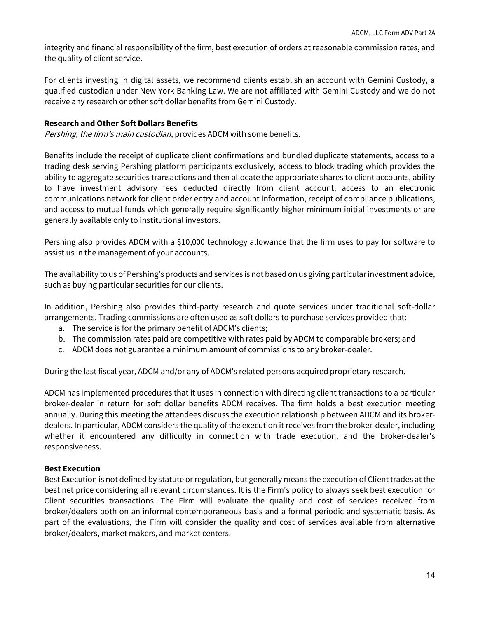integrity and financial responsibility of the firm, best execution of orders at reasonable commission rates, and the quality of client service.

For clients investing in digital assets, we recommend clients establish an account with Gemini Custody, a qualified custodian under New York Banking Law. We are not affiliated with Gemini Custody and we do not receive any research or other soft dollar benefits from Gemini Custody.

### Research and Other Soft Dollars Benefits

Pershing, the firm's main custodian, provides ADCM with some benefits.

Benefits include the receipt of duplicate client confirmations and bundled duplicate statements, access to a trading desk serving Pershing platform participants exclusively, access to block trading which provides the ability to aggregate securities transactions and then allocate the appropriate shares to client accounts, ability to have investment advisory fees deducted directly from client account, access to an electronic communications network for client order entry and account information, receipt of compliance publications, and access to mutual funds which generally require significantly higher minimum initial investments or are generally available only to institutional investors.

Pershing also provides ADCM with a \$10,000 technology allowance that the firm uses to pay for software to assist us in the management of your accounts.

The availability to us of Pershing's products and services is not based on us giving particular investment advice, such as buying particular securities for our clients.

In addition, Pershing also provides third-party research and quote services under traditional soft-dollar arrangements. Trading commissions are often used as soft dollars to purchase services provided that:

- a. The service is for the primary benefit of ADCM's clients;
- b. The commission rates paid are competitive with rates paid by ADCM to comparable brokers; and
- c. ADCM does not guarantee a minimum amount of commissions to any broker-dealer.

During the last fiscal year, ADCM and/or any of ADCM's related persons acquired proprietary research.

ADCM has implemented procedures that it uses in connection with directing client transactions to a particular broker-dealer in return for soft dollar benefits ADCM receives. The firm holds a best execution meeting annually. During this meeting the attendees discuss the execution relationship between ADCM and its brokerdealers. In particular, ADCM considers the quality of the execution it receives from the broker-dealer, including whether it encountered any difficulty in connection with trade execution, and the broker-dealer's responsiveness.

### Best Execution

Best Execution is not defined by statute or regulation, but generally means the execution of Client trades at the best net price considering all relevant circumstances. It is the Firm's policy to always seek best execution for Client securities transactions. The Firm will evaluate the quality and cost of services received from broker/dealers both on an informal contemporaneous basis and a formal periodic and systematic basis. As part of the evaluations, the Firm will consider the quality and cost of services available from alternative broker/dealers, market makers, and market centers.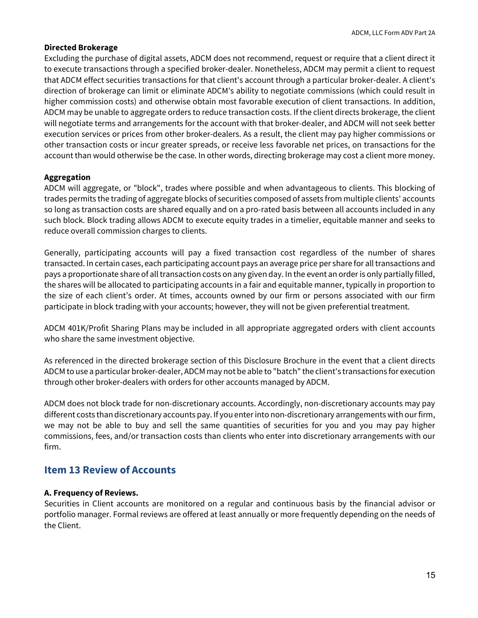### Directed Brokerage

Excluding the purchase of digital assets, ADCM does not recommend, request or require that a client direct it to execute transactions through a specified broker-dealer. Nonetheless, ADCM may permit a client to request that ADCM effect securities transactions for that client's account through a particular broker-dealer. A client's direction of brokerage can limit or eliminate ADCM's ability to negotiate commissions (which could result in higher commission costs) and otherwise obtain most favorable execution of client transactions. In addition, ADCM may be unable to aggregate orders to reduce transaction costs. If the client directs brokerage, the client will negotiate terms and arrangements for the account with that broker-dealer, and ADCM will not seek better execution services or prices from other broker-dealers. As a result, the client may pay higher commissions or other transaction costs or incur greater spreads, or receive less favorable net prices, on transactions for the account than would otherwise be the case. In other words, directing brokerage may cost a client more money.

### Aggregation

ADCM will aggregate, or "block", trades where possible and when advantageous to clients. This blocking of trades permits the trading of aggregate blocks of securities composed of assets from multiple clients' accounts so long as transaction costs are shared equally and on a pro-rated basis between all accounts included in any such block. Block trading allows ADCM to execute equity trades in a timelier, equitable manner and seeks to reduce overall commission charges to clients.

Generally, participating accounts will pay a fixed transaction cost regardless of the number of shares transacted. In certain cases, each participating account pays an average price per share for all transactions and pays a proportionate share of all transaction costs on any given day. In the event an order is only partially filled, the shares will be allocated to participating accounts in a fair and equitable manner, typically in proportion to the size of each client's order. At times, accounts owned by our firm or persons associated with our firm participate in block trading with your accounts; however, they will not be given preferential treatment.

ADCM 401K/Profit Sharing Plans may be included in all appropriate aggregated orders with client accounts who share the same investment objective.

As referenced in the directed brokerage section of this Disclosure Brochure in the event that a client directs ADCM to use a particular broker-dealer, ADCM may not be able to "batch" the client's transactions for execution through other broker-dealers with orders for other accounts managed by ADCM.

ADCM does not block trade for non-discretionary accounts. Accordingly, non-discretionary accounts may pay different costs than discretionary accounts pay. If you enter into non-discretionary arrangements with our firm, we may not be able to buy and sell the same quantities of securities for you and you may pay higher commissions, fees, and/or transaction costs than clients who enter into discretionary arrangements with our firm.

## Item 13 Review of Accounts

#### A. Frequency of Reviews.

Securities in Client accounts are monitored on a regular and continuous basis by the financial advisor or portfolio manager. Formal reviews are offered at least annually or more frequently depending on the needs of the Client.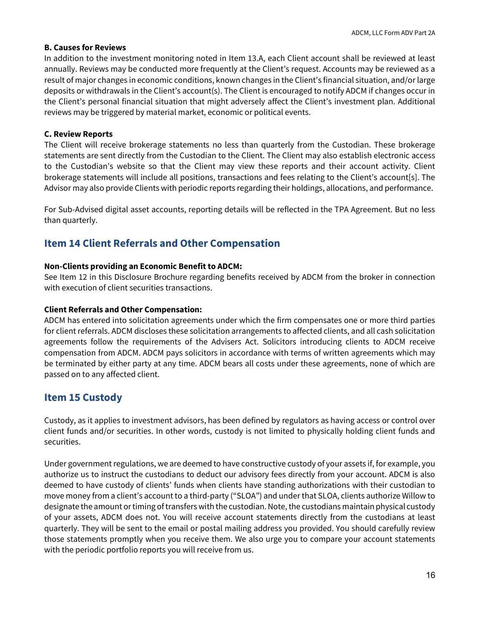### B. Causes for Reviews

In addition to the investment monitoring noted in Item 13.A, each Client account shall be reviewed at least annually. Reviews may be conducted more frequently at the Client's request. Accounts may be reviewed as a result of major changes in economic conditions, known changes in the Client's financial situation, and/or large deposits or withdrawals in the Client's account(s). The Client is encouraged to notify ADCM if changes occur in the Client's personal financial situation that might adversely affect the Client's investment plan. Additional reviews may be triggered by material market, economic or political events.

### C. Review Reports

The Client will receive brokerage statements no less than quarterly from the Custodian. These brokerage statements are sent directly from the Custodian to the Client. The Client may also establish electronic access to the Custodian's website so that the Client may view these reports and their account activity. Client brokerage statements will include all positions, transactions and fees relating to the Client's account[s]. The Advisor may also provide Clients with periodic reports regarding their holdings, allocations, and performance.

For Sub-Advised digital asset accounts, reporting details will be reflected in the TPA Agreement. But no less than quarterly.

# Item 14 Client Referrals and Other Compensation

### Non-Clients providing an Economic Benefit to ADCM:

See Item 12 in this Disclosure Brochure regarding benefits received by ADCM from the broker in connection with execution of client securities transactions.

#### Client Referrals and Other Compensation:

ADCM has entered into solicitation agreements under which the firm compensates one or more third parties for client referrals. ADCM discloses these solicitation arrangements to affected clients, and all cash solicitation agreements follow the requirements of the Advisers Act. Solicitors introducing clients to ADCM receive compensation from ADCM. ADCM pays solicitors in accordance with terms of written agreements which may be terminated by either party at any time. ADCM bears all costs under these agreements, none of which are passed on to any affected client.

## Item 15 Custody

Custody, as it applies to investment advisors, has been defined by regulators as having access or control over client funds and/or securities. In other words, custody is not limited to physically holding client funds and securities.

Under government regulations, we are deemed to have constructive custody of your assets if, for example, you authorize us to instruct the custodians to deduct our advisory fees directly from your account. ADCM is also deemed to have custody of clients' funds when clients have standing authorizations with their custodian to move money from a client's account to a third-party ("SLOA") and under that SLOA, clients authorize Willow to designate the amount or timing of transfers with the custodian. Note, the custodians maintain physical custody of your assets, ADCM does not. You will receive account statements directly from the custodians at least quarterly. They will be sent to the email or postal mailing address you provided. You should carefully review those statements promptly when you receive them. We also urge you to compare your account statements with the periodic portfolio reports you will receive from us.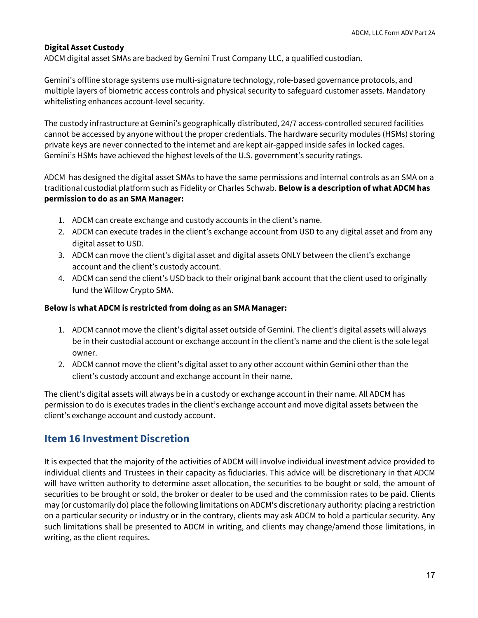### Digital Asset Custody

ADCM digital asset SMAs are backed by Gemini Trust Company LLC, a qualified custodian.

Gemini's offline storage systems use multi-signature technology, role-based governance protocols, and multiple layers of biometric access controls and physical security to safeguard customer assets. Mandatory whitelisting enhances account-level security.

The custody infrastructure at Gemini's geographically distributed, 24/7 access-controlled secured facilities cannot be accessed by anyone without the proper credentials. The hardware security modules (HSMs) storing private keys are never connected to the internet and are kept air-gapped inside safes in locked cages. Gemini's HSMs have achieved the highest levels of the U.S. government's security ratings.

ADCM has designed the digital asset SMAs to have the same permissions and internal controls as an SMA on a traditional custodial platform such as Fidelity or Charles Schwab. Below is a description of what ADCM has permission to do as an SMA Manager:

- 1. ADCM can create exchange and custody accounts in the client's name.
- 2. ADCM can execute trades in the client's exchange account from USD to any digital asset and from any digital asset to USD.
- 3. ADCM can move the client's digital asset and digital assets ONLY between the client's exchange account and the client's custody account.
- 4. ADCM can send the client's USD back to their original bank account that the client used to originally fund the Willow Crypto SMA.

#### Below is what ADCM is restricted from doing as an SMA Manager:

- 1. ADCM cannot move the client's digital asset outside of Gemini. The client's digital assets will always be in their custodial account or exchange account in the client's name and the client is the sole legal owner.
- 2. ADCM cannot move the client's digital asset to any other account within Gemini other than the client's custody account and exchange account in their name.

The client's digital assets will always be in a custody or exchange account in their name. All ADCM has permission to do is executes trades in the client's exchange account and move digital assets between the client's exchange account and custody account.

## Item 16 Investment Discretion

It is expected that the majority of the activities of ADCM will involve individual investment advice provided to individual clients and Trustees in their capacity as fiduciaries. This advice will be discretionary in that ADCM will have written authority to determine asset allocation, the securities to be bought or sold, the amount of securities to be brought or sold, the broker or dealer to be used and the commission rates to be paid. Clients may (or customarily do) place the following limitations on ADCM's discretionary authority: placing a restriction on a particular security or industry or in the contrary, clients may ask ADCM to hold a particular security. Any such limitations shall be presented to ADCM in writing, and clients may change/amend those limitations, in writing, as the client requires.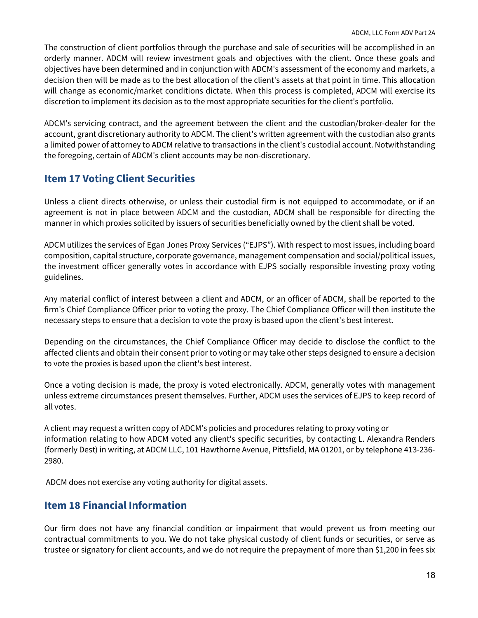The construction of client portfolios through the purchase and sale of securities will be accomplished in an orderly manner. ADCM will review investment goals and objectives with the client. Once these goals and objectives have been determined and in conjunction with ADCM's assessment of the economy and markets, a decision then will be made as to the best allocation of the client's assets at that point in time. This allocation will change as economic/market conditions dictate. When this process is completed, ADCM will exercise its discretion to implement its decision as to the most appropriate securities for the client's portfolio.

ADCM's servicing contract, and the agreement between the client and the custodian/broker-dealer for the account, grant discretionary authority to ADCM. The client's written agreement with the custodian also grants a limited power of attorney to ADCM relative to transactions in the client's custodial account. Notwithstanding the foregoing, certain of ADCM's client accounts may be non-discretionary.

# Item 17 Voting Client Securities

Unless a client directs otherwise, or unless their custodial firm is not equipped to accommodate, or if an agreement is not in place between ADCM and the custodian, ADCM shall be responsible for directing the manner in which proxies solicited by issuers of securities beneficially owned by the client shall be voted.

ADCM utilizes the services of Egan Jones Proxy Services ("EJPS"). With respect to most issues, including board composition, capital structure, corporate governance, management compensation and social/political issues, the investment officer generally votes in accordance with EJPS socially responsible investing proxy voting guidelines.

Any material conflict of interest between a client and ADCM, or an officer of ADCM, shall be reported to the firm's Chief Compliance Officer prior to voting the proxy. The Chief Compliance Officer will then institute the necessary steps to ensure that a decision to vote the proxy is based upon the client's best interest.

Depending on the circumstances, the Chief Compliance Officer may decide to disclose the conflict to the affected clients and obtain their consent prior to voting or may take other steps designed to ensure a decision to vote the proxies is based upon the client's best interest.

Once a voting decision is made, the proxy is voted electronically. ADCM, generally votes with management unless extreme circumstances present themselves. Further, ADCM uses the services of EJPS to keep record of all votes.

A client may request a written copy of ADCM's policies and procedures relating to proxy voting or information relating to how ADCM voted any client's specific securities, by contacting L. Alexandra Renders (formerly Dest) in writing, at ADCM LLC, 101 Hawthorne Avenue, Pittsfield, MA 01201, or by telephone 413-236- 2980.

ADCM does not exercise any voting authority for digital assets.

# Item 18 Financial Information

Our firm does not have any financial condition or impairment that would prevent us from meeting our contractual commitments to you. We do not take physical custody of client funds or securities, or serve as trustee or signatory for client accounts, and we do not require the prepayment of more than \$1,200 in fees six